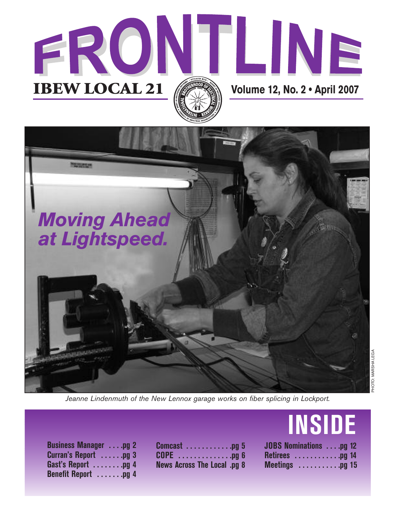



*Jeanne Lindenmuth of the New Lennox garage works on fiber splicing in Lockport.*

| <b>Business Manager</b> pg 2<br>Curran's Report pg 3<br>Gast's Report pg 4<br>Benefit Report pg 4 | <b>Comcast</b> pg 5<br><b>COPE</b> pg 6<br><b>News Across The Local .pg 8</b> |
|---------------------------------------------------------------------------------------------------|-------------------------------------------------------------------------------|

## **INSIDE**

| JOBS Nominations pg 12              |  |
|-------------------------------------|--|
| Retirees pg 14                      |  |
| Meetings $\dots \dots \dots$ .pg 15 |  |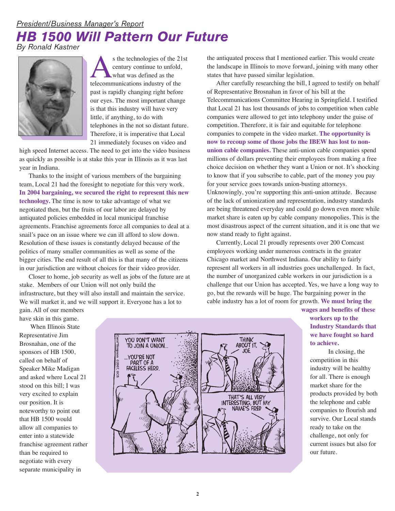## *President/Business Manager's Report HB 1500 Will Pattern Our Future By Ronald Kastner*

s the technologies of the 21st<br>
century continue to unfold,<br>
what was defined as the<br>
telecommunications industry of the century continue to unfold, what was defined as the past is rapidly changing right before our eyes. The most important change is that this industry will have very little, if anything, to do with telephones in the not so distant future. Therefore, it is imperative that Local 21 immediately focuses on video and

high speed Internet access. The need to get into the video business as quickly as possible is at stake this year in Illinois as it was last year in Indiana.

Thanks to the insight of various members of the bargaining team, Local 21 had the foresight to negotiate for this very work. **In 2004 bargaining, we secured the right to represent this new technology.** The time is now to take advantage of what we negotiated then, but the fruits of our labor are delayed by antiquated policies embedded in local municipal franchise agreements. Franchise agreements force all companies to deal at a snail's pace on an issue where we can ill afford to slow down. Resolution of these issues is constantly delayed because of the politics of many smaller communities as well as some of the bigger cities. The end result of all this is that many of the citizens in our jurisdiction are without choices for their video provider.

Closer to home, job security as well as jobs of the future are at stake. Members of our Union will not only build the infrastructure, but they will also install and maintain the service. We will market it, and we will support it. Everyone has a lot to

gain. All of our members have skin in this game.

When Illinois State Representative Jim Brosnahan, one of the sponsors of HB 1500, called on behalf of Speaker Mike Madigan and asked where Local 21 stood on this bill; I was very excited to explain our position. It is noteworthy to point out that HB 1500 would allow all companies to enter into a statewide franchise agreement rather than be required to negotiate with every separate municipality in

![](_page_1_Picture_8.jpeg)

the antiquated process that I mentioned earlier. This would create the landscape in Illinois to move forward, joining with many other states that have passed similar legislation.

After carefully researching the bill, I agreed to testify on behalf of Representative Brosnahan in favor of his bill at the Telecommunications Committee Hearing in Springfield. I testified that Local 21 has lost thousands of jobs to competition when cable companies were allowed to get into telephony under the guise of competition. Therefore, it is fair and equitable for telephone companies to compete in the video market. **The opportunity is now to recoup some of those jobs the IBEW has lost to nonunion cable companies.** These anti-union cable companies spend millions of dollars preventing their employees from making a free choice decision on whether they want a Union or not. It's shocking to know that if you subscribe to cable, part of the money you pay for your service goes towards union-busting attorneys. Unknowingly, you're supporting this anti-union attitude. Because of the lack of unionization and representation, industry standards are being threatened everyday and could go down even more while market share is eaten up by cable company monopolies. This is the most disastrous aspect of the current situation, and it is one that we now stand ready to fight against.

Currently, Local 21 proudly represents over 200 Comcast employees working under numerous contracts in the greater Chicago market and Northwest Indiana. Our ability to fairly represent all workers in all industries goes unchallenged. In fact, the number of unorganized cable workers in our jurisdiction is a challenge that our Union has accepted. Yes, we have a long way to go, but the rewards will be huge. The bargaining power in the cable industry has a lot of room for growth. **We must bring the**

> **wages and benefits of these workers up to the Industry Standards that we have fought so hard to achieve.**

In closing, the competition in this industry will be healthy for all. There is enough market share for the products provided by both the telephone and cable companies to flourish and survive. Our Local stands ready to take on the challenge, not only for current issues but also for our future.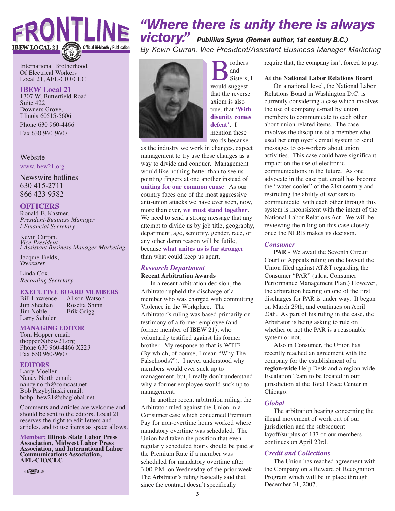## FRONTLINE **IBEW LOCAL 21 Official Bi-Monthly Publicati**

International Brotherhood Of Electrical Workers Local 21, AFL-CIO/CLC

#### **IBEW Local 21**

1307 W. Butterfield Road Suite 422 Downers Grove, Illinois 60515-5606

Phone 630 960-4466 Fax 630 960-9607

#### Website

www.ibew21.org

Newswire hotlines 630 415-2711 866 423-9582

#### **OFFICERS**

Ronald E. Kastner, *President-Business Manager / Financial Secretary*

Kevin Curran, *Vice-President / Assistant Business Manager Marketing*

Jacquie Fields, *Treasurer*

Linda Cox, *Recording Secretary*

## **EXECUTIVE BOARD MEMBERS**<br>Bill Lawrence Alison Watson

Bill Lawrence<br>Jim Sheehan Larry Schuler

Jim Sheehan Rosetta Shinn<br>Jim Noble Erik Grigg Erik Grigg

#### **MANAGING EDITOR**

Tom Hopper email: thopper@ibew21.org Phone 630 960-4466 X223 Fax 630 960-9607

#### **EDITORS**

Larry Moeller Nancy North email: nancy.north@comcast.net Bob Przybylinski email: bobp-ibew21@sbcglobal.net

Comments and articles are welcome and should be sent to the editors. Local 21 reserves the right to edit letters and articles, and to use items as space allows.

**Member: Illinois State Labor Press Association, Midwest Labor Press Association, and International Labor Communications Association, AFL-CIO/CLC**

© GGCIU → 278

## *"Where there is unity there is always victory." Publilius Syrus (Roman author, 1st century B.C.)*

*By Kevin Curran, Vice President/Assistant Business Manager Marketing*

![](_page_2_Picture_25.jpeg)

**B** rothers<br>sisters swould suggest and Sisters, I that the reverse axiom is also true, that **'With disunity comes defeat'**. I mention these words because

as the industry we work in changes, expect management to try use these changes as a way to divide and conquer. Management would like nothing better than to see us pointing fingers at one another instead of **uniting for our common cause**. As our country faces one of the most aggressive anti-union attacks we have ever seen, now, more than ever, **we must stand together**. We need to send a strong message that any attempt to divide us by job title, geography, department, age, seniority, gender, race, or any other damn reason will be futile, because **what unites us is far stronger** than what could keep us apart.

#### *Research Department*

#### **Recent Arbitration Awards**

In a recent arbitration decision, the Arbitrator upheld the discharge of a member who was charged with committing Violence in the Workplace. The Arbitrator's ruling was based primarily on testimony of a former employee (and former member of IBEW 21), who voluntarily testified against his former brother. My response to that is-WTF? (By which, of course, I mean "Why The Falsehoods?"). I never understood why members would ever suck up to management, but, I really don't understand why a former employee would suck up to management.

In another recent arbitration ruling, the Arbitrator ruled against the Union in a Consumer case which concerned Premium Pay for non-overtime hours worked where mandatory overtime was scheduled. The Union had taken the position that even regularly scheduled hours should be paid at the Premium Rate if a member was scheduled for mandatory overtime after 3:00 P.M. on Wednesday of the prior week. The Arbitrator's ruling basically said that since the contract doesn't specifically

require that, the company isn't forced to pay.

#### **At the National Labor Relations Board**

On a national level, the National Labor Relations Board in Washington D.C. is currently considering a case which involves the use of company e-mail by union members to communicate to each other about union-related items. The case involves the discipline of a member who used her employer's email system to send messages to co-workers about union activities. This case could have significant impact on the use of electronic communications in the future. As one advocate in the case put, email has become the "water cooler" of the 21st century and restricting the ability of workers to communicate with each other through this system is inconsistent with the intent of the National Labor Relations Act. We will be reviewing the ruling on this case closely once the NLRB makes its decision.

#### *Consumer*

**PAR** - We await the Seventh Circuit Court of Appeals ruling on the lawsuit the Union filed against AT&T regarding the Consumer "PAR" (a.k.a. Consumer Performance Management Plan.) However, the arbitration hearing on one of the first discharges for PAR is under way. It began on March 29th, and continues on April 20th. As part of his ruling in the case, the Arbitrator is being asking to rule on whether or not the PAR is a reasonable system or not.

Also in Consumer, the Union has recently reached an agreement with the company for the establishment of a **region-wide** Help Desk and a region-wide Escalation Team to be located in our jurisdiction at the Total Grace Center in Chicago.

#### *Global*

The arbitration hearing concerning the illegal movement of work out of our jurisdiction and the subsequent layoff/surplus of 137 of our members continues on April 23rd.

#### *Credit and Collections*

The Union has reached agreement with the Company on a Reward of Recognition Program which will be in place through December 31, 2007.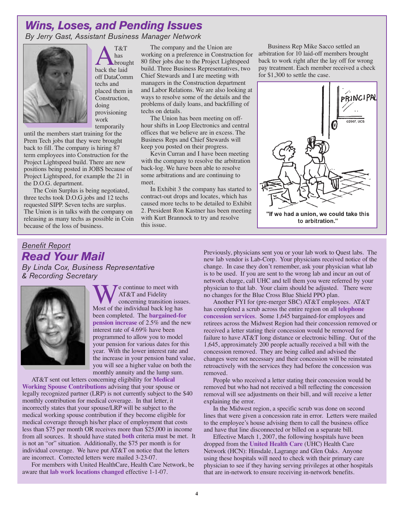## *Wins, Loses, and Pending Issues*

*By Jerry Gast, Assistant Business Manager Network*

![](_page_3_Picture_2.jpeg)

 $A_{\text{broug}}^{\text{T&T}}$ has brought off DataComm techs and placed them in Construction, doing provisioning work temporarily

until the members start training for the Prem Tech jobs that they were brought back to fill. The company is hiring 87 term employees into Construction for the Project Lightspeed build. There are new positions being posted in JOBS because of Project Lightspeed, for example the 21 in the D.O.G. department.

The Coin Surplus is being negotiated, three techs took D.O.G.jobs and 12 techs requested SIPP. Seven techs are surplus. The Union is in talks with the company on releasing as many techs as possible in Coin because of the loss of business.

The company and the Union are working on a preference in Construction for 80 fiber jobs due to the Project Lightspeed build. Three Business Representatives, two Chief Stewards and I are meeting with managers in the Construction department and Labor Relations. We are also looking at ways to resolve some of the details and the problems of daily loans, and backfilling of techs on details.

The Union has been meeting on offhour shifts in Loop Electronics and central offices that we believe are in excess. The Business Reps and Chief Stewards will keep you posted on their progress.

Kevin Curran and I have been meeting with the company to resolve the arbitration back-log. We have been able to resolve some arbitrations and are continuing to meet.

In Exhibit 3 the company has started to contract-out drops and locates, which has caused more techs to be detailed to Exhibit 2. President Ron Kastner has been meeting with Kurt Brannock to try and resolve this issue.

Business Rep Mike Sacco settled an arbitration for 10 laid-off members brought back to work right after the lay off for wrong pay treatment. Each member received a check for \$1,300 to settle the case.

![](_page_3_Picture_11.jpeg)

## *Benefit Report Read Your Mail*

*By Linda Cox, Business Representative & Recording Secretary*

![](_page_3_Picture_14.jpeg)

**WE** continue to meet with<br>
CONCAT&T and Fidelity<br>
Most of the individual back log has AT&T and Fidelity concerning transition issues. been completed. The **bargained-for pension increase** of 2.5% and the new interest rate of 4.69% have been programmed to allow you to model your pension for various dates for this year. With the lower interest rate and the increase in your pension band value, you will see a higher value on both the monthly annuity and the lump sum.

AT&T sent out letters concerning eligibility for **Medical Working Spouse Contributions** advising that your spouse or legally recognized partner (LRP) is not currently subject to the \$40 monthly contribution for medical coverage. In that letter, it incorrectly states that your spouse/LRP will be subject to the medical working spouse contribution if they become eligible for medical coverage through his/her place of employment that costs less than \$75 per month OR receives more than \$25,000 in income from all sources. It should have stated **both** criteria must be met. It is not an "or" situation. Additionally, the \$75 per month is for individual coverage. We have put AT&T on notice that the letters are incorrect. Corrected letters were mailed 3-23-07.

For members with United HealthCare, Health Care Network, be aware that **lab work locations changed** effective 1-1-07.

Previously, physicians sent you or your lab work to Quest labs. The new lab vendor is Lab-Corp. Your physicians received notice of the change. In case they don't remember, ask your physician what lab is to be used. If you are sent to the wrong lab and incur an out of network charge, call UHC and tell them you were referred by your physician to that lab. Your claim should be adjusted. There were no changes for the Blue Cross Blue Shield PPO plan.

Another FYI for (pre-merger SBC) AT&T employees. AT&T has completed a scrub across the entire region on all **telephone concession services**. Some 1,645 bargained-for employees and retirees across the Midwest Region had their concession removed or received a letter stating their concession would be removed for failure to have AT&T long distance or electronic billing. Out of the 1,645, approximately 200 people actually received a bill with the concession removed. They are being called and advised the changes were not necessary and their concession will be reinstated retroactively with the services they had before the concession was removed.

People who received a letter stating their concession would be removed but who had not received a bill reflecting the concession removal will see adjustments on their bill, and will receive a letter explaining the error.

In the Midwest region, a specific scrub was done on second lines that were given a concession rate in error. Letters were mailed to the employee's house advising them to call the business office and have that line disconnected or billed on a separate bill.

Effective March 1, 2007, the following hospitals have been dropped from the **United Health Care** (UHC) Health Care Network (HCN): Hinsdale, Lagrange and Glen Oaks. Anyone using these hospitals will need to check with their primary care physician to see if they having serving privileges at other hospitals that are in-network to ensure receiving in-network benefits.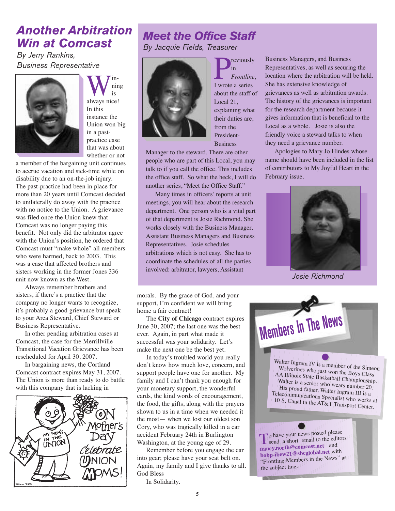## *Another Arbitration Win at Comcast*

*By Jerry Rankins, Business Representative*

![](_page_4_Picture_2.jpeg)

W<sup>in-</sup><br>always nice! ning is In this instance the Union won big in a pastpractice case that was about whether or not

a member of the bargaining unit continues to accrue vacation and sick-time while on disability due to an on-the-job injury. The past-practice had been in place for more than 20 years until Comcast decided to unilaterally do away with the practice with no notice to the Union. A grievance was filed once the Union knew that Comcast was no longer paying this benefit. Not only did the arbitrator agree with the Union's position, he ordered that Comcast must "make whole" all members who were harmed, back to 2003. This was a case that affected brothers and sisters working in the former Jones 336 unit now known as the West.

Always remember brothers and sisters, if there's a practice that the company no longer wants to recognize, it's probably a good grievance but speak to your Area Steward, Chief Steward or Business Representative.

In other pending arbitration cases at Comcast, the case for the Merrillville Transitional Vacation Grievance has been rescheduled for April 30, 2007.

In bargaining news, the Cortland Comcast contract expires May 31, 2007. The Union is more than ready to do battle with this company that is lacking in

![](_page_4_Picture_8.jpeg)

## *Meet the Office Staff By Jacquie Fields, Treasurer*

![](_page_4_Picture_10.jpeg)

**P**in<br>Frontline<br>I wrote a series in *Frontline*, about the staff of Local 21, explaining what their duties are, from the President-**Business** 

Manager to the steward. There are other people who are part of this Local, you may talk to if you call the office. This includes the office staff. So what the heck, I will do another series, "Meet the Office Staff."

Many times in officers' reports at unit meetings, you will hear about the research department. One person who is a vital part of that department is Josie Richmond. She works closely with the Business Manager, Assistant Business Managers and Business Representatives. Josie schedules arbitrations which is not easy. She has to coordinate the schedules of all the parties involved: arbitrator, lawyers, Assistant

morals. By the grace of God, and your support, I'm confident we will bring home a fair contract!

The **City of Chicago** contract expires June 30, 2007; the last one was the best ever. Again, in part what made it successful was your solidarity. Let's make the next one be the best yet.

In today's troubled world you really don't know how much love, concern, and support people have one for another. My family and I can't thank you enough for your monetary support, the wonderful cards, the kind words of encouragement, the food, the gifts, along with the prayers shown to us in a time when we needed it the most— when we lost our oldest son Cory, who was tragically killed in a car accident February 24th in Burlington Washington, at the young age of 29.

Remember before you engage the car into gear; please have your seat belt on. Again, my family and I give thanks to all. God Bless

In Solidarity.

Business Managers, and Business Representatives, as well as securing the location where the arbitration will be held. She has extensive knowledge of grievances as well as arbitration awards. The history of the grievances is important for the research department because it gives information that is beneficial to the Local as a whole. Josie is also the friendly voice a steward talks to when they need a grievance number.

Apologies to Mary Jo Hindes whose name should have been included in the list of contributors to My Joyful Heart in the February issue.

![](_page_4_Picture_21.jpeg)

*Josie Richmond*

**Members In The News**

W W alt o e l r v I e n ng<br>rii n r e a s m  $W^{1}$  IV is a member of the Simeon AA Illino Wolverines who just won the Boys Class A Illinois State Basketball Championship.<br>Walter is a senior who we His proud father, Walter Ingram III is a s a senior who wears number 20.<br>ud father Wolter I Telecommu elecommunications Specialist who works at the S. Canal in the AT&T. 10 S. Canal in the AT&T Transport Center. **•**

To have your news posted please **nancy.north@comcast.net** and **bobp-ibew21@sbcglobal.net** with "Frontline Members in the News" as the subject line.

**•**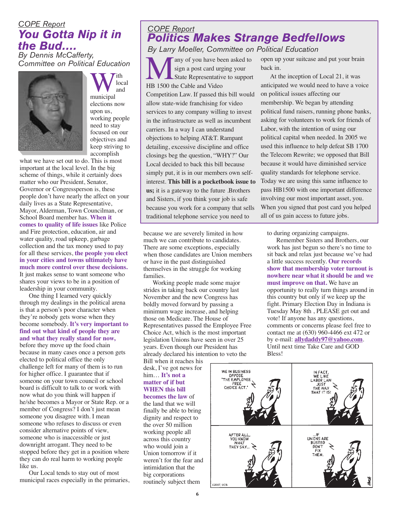#### *COPE Report You Gotta Nip it in the Bud…. By Dennis McCafferty,*

*Committee on Political Education*

![](_page_5_Picture_2.jpeg)

W<sup>ith</sup><br>municipal local and elections now upon us, working people need to stay focused on our objectives and keep striving to accomplish

what we have set out to do. This is most important at the local level. In the big scheme of things, while it certainly does matter who our President, Senator, Governor or Congressperson is, these people don't have nearly the affect on your daily lives as a State Representative, Mayor, Alderman, Town Councilman, or School Board member has. **When it comes to quality of life issues** like Police and Fire protection, education, air and water quality, road upkeep, garbage collection and the tax money used to pay for all these services, **the people you elect in your cities and towns ultimately have much more control over these decisions.** It just makes sense to want someone who shares your views to be in a position of leadership in your community.

One thing I learned very quickly through my dealings in the political arena is that a person's poor character when they're nobody gets worse when they become somebody. **It's very important to find out what kind of people they are and what they really stand for now,** before they move up the food chain because in many cases once a person gets elected to political office the only challenge left for many of them is to run for higher office. I guarantee that if someone on your town council or school board is difficult to talk to or work with now what do you think will happen if he/she becomes a Mayor or State Rep. or a member of Congress? I don't just mean someone you disagree with. I mean someone who refuses to discuss or even consider alternative points of view, someone who is inaccessible or just downright arrogant. They need to be stopped before they get in a position where they can do real harm to working people like us.

Our Local tends to stay out of most municipal races especially in the primaries,

## *COPE Report Politics Makes Strange Bedfellows*

any of you have been asked to sign a post card urging your State Representative to support HB 1500 the Cable and Video Competition Law. If passed this bill would allow state-wide franchising for video services to any company willing to invest in the infrastructure as well as incumbent carriers. In a way I can understand objections to helping AT&T. Rampant detailing, excessive discipline and office closings beg the question, "WHY?" Our Local decided to back this bill because simply put, it is in our members own selfinterest. **This bill is a pocketbook issue to us;** it is a gateway to the future .Brothers and Sisters, if you think your job is safe because you work for a company that sells traditional telephone service you need to *By Larry Moeller, Committee on Political Education*

because we are severely limited in how much we can contribute to candidates. There are some exceptions, especially when those candidates are Union members or have in the past distinguished themselves in the struggle for working families.

Working people made some major strides in taking back our country last November and the new Congress has boldly moved forward by passing a minimum wage increase, and helping those on Medicare. The House of Representatives passed the Employee Free Choice Act, which is the most important legislation Unions have seen in over 25 years. Even though our President has already declared his intention to veto the

Bill when it reaches his desk, I've got news for him… **It's not a matter of if but WHEN this bill becomes the law** of

the land that we will finally be able to bring dignity and respect to the over 50 million working people all across this country who would join a Union tomorrow if it weren't for the fear and intimidation that the big corporations routinely subject them

open up your suitcase and put your brain back in.

At the inception of Local 21, it was anticipated we would need to have a voice on political issues affecting our membership. We began by attending political fund raisers, running phone banks, asking for volunteers to work for friends of Labor, with the intention of using our political capital when needed. In 2005 we used this influence to help defeat SB 1700 the Telecom Rewrite; we opposed that Bill because it would have diminished service quality standards for telephone service. Today we are using this same influence to pass HB1500 with one important difference involving our most important asset, you. When you signed that post card you helped all of us gain access to future jobs.

to during organizing campaigns.

Remember Sisters and Brothers, our work has just begun so there's no time to sit back and relax just because we've had a little success recently. **Our records show that membership voter turnout is nowhere near what it should be and we must improve on that.** We have an opportunity to really turn things around in this country but only if we keep up the fight. Primary Election Day in Indiana is Tuesday May 8th , PLEASE get out and vote! If anyone has any questions, comments or concerns please feel free to contact me at (630) 960-4466 ext 472 or by e-mail: **allydaddy97@yahoo.com**. Until next time Take Care and GOD Bless!

![](_page_5_Picture_17.jpeg)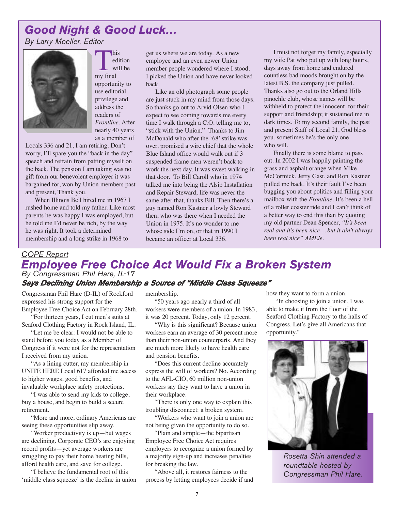## *Good Night & Good Luck…*

*By Larry Moeller, Editor*

![](_page_6_Picture_2.jpeg)

This<br>
my final edition will be opportunity to use editorial privilege and address the readers of *Frontline*. After nearly 40 years as a member of

Locals 336 and 21, I am retiring. Don't worry, I'll spare you the "back in the day" speech and refrain from patting myself on the back. The pension I am taking was no gift from our benevolent employer it was bargained for, won by Union members past and present, Thank you.

When Illinois Bell hired me in 1967 I rushed home and told my father. Like most parents he was happy I was employed, but he told me I'd never be rich, by the way he was right. It took a determined membership and a long strike in 1968 to

get us where we are today. As a new employee and an even newer Union member people wondered where I stood. I picked the Union and have never looked back.

Like an old photograph some people are just stuck in my mind from those days. So thanks go out to Arvid Olsen who I expect to see coming towards me every time I walk through a C.O. telling me to, "stick with the Union." Thanks to Jim McDonald who after the '68' strike was over, promised a wire chief that the whole Blue Island office would walk out if 3 suspended frame men weren't back to work the next day. It was sweet walking in that door. To Bill Caroll who in 1974 talked me into being the Alsip Installation and Repair Steward; life was never the same after that, thanks Bill. Then there's a guy named Ron Kastner a lowly Steward then, who was there when I needed the Union in 1975. It's no wonder to me whose side I'm on, or that in 1990 I became an officer at Local 336.

I must not forget my family, especially my wife Pat who put up with long hours, days away from home and endured countless bad moods brought on by the latest B.S. the company just pulled. Thanks also go out to the Orland Hills pinochle club, whose names will be withheld to protect the innocent, for their support and friendship; it sustained me in dark times. To my second family, the past and present Staff of Local 21, God bless you, sometimes he's the only one who will.

Finally there is some blame to pass out. In 2002 I was happily painting the grass and asphalt orange when Mike McCormick, Jerry Gast, and Ron Kastner pulled me back. It's their fault I've been bugging you about politics and filling your mailbox with the *Frontline.* It's been a hell of a roller coaster ride and I can't think of a better way to end this than by quoting my old partner Dean Spencer, *"It's been real and it's been nice… but it ain't always been real nice" AMEN.*

#### *COPE Report Employee Free Choice Act Would Fix a Broken System By Congressman Phil Hare, IL-17 Says Declining Union Membership <sup>a</sup> Source of "Middle Class Squeeze"*

Congressman Phil Hare (D-IL) of Rockford expressed his strong support for the Employee Free Choice Act on February 28th.

"For thirteen years, I cut men's suits at Seaford Clothing Factory in Rock Island, IL.

"Let me be clear: I would not be able to stand before you today as a Member of Congress if it were not for the representation I received from my union.

"As a lining cutter, my membership in UNITE HERE Local 617 afforded me access to higher wages, good benefits, and invaluable workplace safety protections.

"I was able to send my kids to college, buy a house, and begin to build a secure retirement.

"More and more, ordinary Americans are seeing these opportunities slip away.

"Worker productivity is up—but wages are declining. Corporate CEO's are enjoying record profits—yet average workers are struggling to pay their home heating bills, afford health care, and save for college.

"I believe the fundamental root of this 'middle class squeeze' is the decline in union membership.

"50 years ago nearly a third of all workers were members of a union. In 1983, it was 20 percent. Today, only 12 percent.

"Why is this significant? Because union workers earn an average of 30 percent more than their non-union counterparts. And they are much more likely to have health care and pension benefits.

"Does this current decline accurately express the will of workers? No. According to the AFL-CIO, 60 million non-union workers say they want to have a union in their workplace.

"There is only one way to explain this troubling disconnect: a broken system.

"Workers who want to join a union are not being given the opportunity to do so.

"Plain and simple—the bipartisan Employee Free Choice Act requires employers to recognize a union formed by a majority sign-up and increases penalties for breaking the law.

"Above all, it restores fairness to the process by letting employees decide if and how they want to form a union.

"In choosing to join a union, I was able to make it from the floor of the Seaford Clothing Factory to the halls of Congress. Let's give all Americans that opportunity."

![](_page_6_Picture_29.jpeg)

*Rosetta Shin attended a roundtable hosted by Congressman Phil Hare.*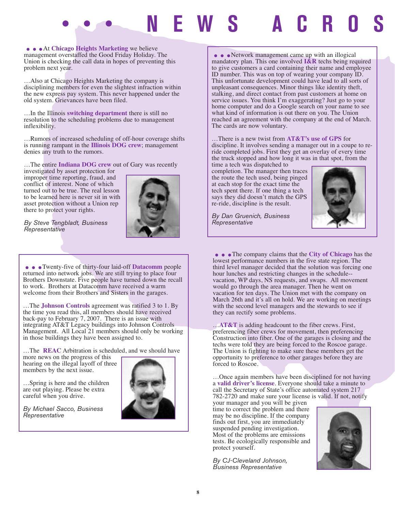# **••• NEWS ACROSS THE LOCAL •••**

**...**<br>At Chicago Heights Marketing we believe management overstaffed the Good Friday Holiday. The Union is checking the call data in hopes of preventing this problem next year.

…Also at Chicago Heights Marketing the company is disciplining members for even the slightest infraction within the new express pay system. This never happened under the old system. Grievances have been filed.

…In the Illinois **switching department** there is still no resolution to the scheduling problems due to management inflexibility.

…Rumors of increased scheduling of off-hour coverage shifts is running rampant in the **Illinois DOG crew**; management denies any truth to the rumors.

…The entire **Indiana DOG crew** out of Gary was recently

investigated by asset protection for improper time reporting, fraud, and conflict of interest. None of which turned out to be true. The real lesson to be learned here is never sit in with asset protection without a Union rep there to protect your rights.

![](_page_7_Picture_7.jpeg)

*By Steve Tengbladt, Business Representative*

• • • Twenty-five of thirty-four laid-off **Datacomm** people returned into network jobs. We are still trying to place four Brothers Downstate. Five people have turned down the recall to work. Brothers at Datacomm have received a warm welcome from their Brothers and Sisters in the garages.

…The **Johnson Controls** agreement was ratified 3 to 1. By the time you read this, all members should have received back-pay to February 7, 2007. There is an issue with integrating AT&T Legacy buildings into Johnson Controls Management. All Local 21 members should only be working in those buildings they have been assigned to.

…The **REAC** Arbitration is scheduled, and we should have

more news on the progress of this hearing on the illegal layoff of three members by the next issue.

…Spring is here and the children are out playing. Please be extra careful when you drive.

*By Michael Sacco, Business Representative*

![](_page_7_Picture_15.jpeg)

**....**<br>Metwork management came up with an illogical<br>mandatory plan. This one involved **I&R** techs being required to give customers a card containing their name and employee ID number. This was on top of wearing your company ID. This unfortunate development could have lead to all sorts of unpleasant consequences. Minor things like identity theft, stalking, and direct contact from past customers at home on service issues. You think I'm exaggerating? Just go to your home computer and do a Google search on your name to see what kind of information is out there on you. The Union reached an agreement with the company at the end of March. The cards are now voluntary.

#### …There is a new twist from **AT&T's use of GPS** for discipline. It involves sending a manager out in a coupe to reride completed jobs. First they get an overlay of every time the truck stopped and how long it was in that spot, from the

time a tech was dispatched to completion. The manager then traces the route the tech used, being pinged at each stop for the exact time the tech spent there. If one thing a tech says they did doesn't match the GPS re-ride, discipline is the result.

*By Dan Gruenich, Business Representative*

![](_page_7_Picture_20.jpeg)

...The company claims that the **City of Chicago** has the lowest performance numbers in the five state region. The third level manager decided that the solution was forcing one hour lunches and restricting changes in the schedule- vacation, WP days, NS requests, and swaps. All movement would go through the area manager. Then he went on vacation for ten days. The Union met with the company on March 26th and it's all on hold. We are working on meetings with the second level managers and the stewards to see if they can rectify some problems.

…**AT&T** is adding headcount to the fiber crews. First, preferencing fiber crews for movement, then preferencing Construction into fiber. One of the garages is closing and the techs were told they are being forced to the Roscoe garage. The Union is fighting to make sure these members get the opportunity to preference to other garages before they are forced to Roscoe.

…Once again members have been disciplined for not having a **valid driver's license**. Everyone should take a minute to call the Secretary of State's office automated system 217 782-2720 and make sure your license is valid. If not, notify

your manager and you will be given time to correct the problem and there may be no discipline. If the company finds out first, you are immediately suspended pending investigation. Most of the problems are emissions tests. Be ecologically responsible and protect yourself.

*By CJ-Cleveland Johnson, Business Representative*

![](_page_7_Picture_26.jpeg)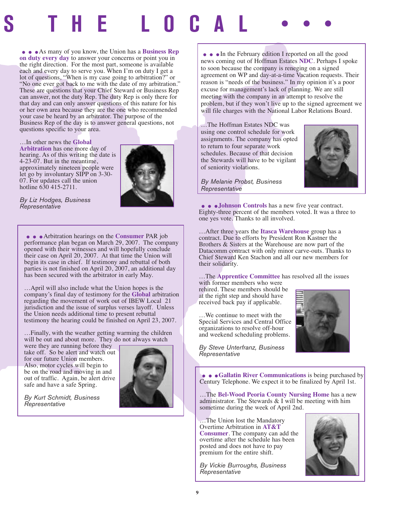# **SS THE LOCAL •••** ...As many of you know, the Union has a **Business Rep**

**on duty every day** to answer your concerns or point you in the right direction. For the most part, someone is available each and every day to serve you. When I'm on duty I get a lot of questions, "When is my case going to arbitration?" or "No one ever got back to me with the date of my arbitration." These are questions that your Chief Steward or Business Rep can answer, not the duty Rep. The duty Rep is only there for that day and can only answer questions of this nature for his or her own area because they are the one who recommended your case be heard by an arbitrator. The purpose of the Business Rep of the day is to answer general questions, not questions specific to your area.

…In other news the **Global Arbitration** has one more day of hearing. As of this writing the date is 4-23-07. But in the meantime, approximately nineteen people were let go by involuntary SIPP on 3-30- 07. For updates call the union hotline 630 415-2711.

![](_page_8_Picture_3.jpeg)

*By Liz Hodges, Business Representative*

**...**<br>Arbitration hearings on the **Consumer** PAR job performance plan began on March 29, 2007. The company opened with their witnesses and will hopefully conclude their case on April 20, 2007. At that time the Union will begin its case in chief. If testimony and rebuttal of both parties is not finished on April 20, 2007, an additional day has been secured with the arbitrator in early May.

…April will also include what the Union hopes is the company's final day of testimony for the **Global** arbitration regarding the movement of work out of IBEW Local 21 jurisdiction and the issue of surplus verses layoff. Unless the Union needs additional time to present rebuttal testimony the hearing could be finished on April 23, 2007.

…Finally, with the weather getting warming the children will be out and about more. They do not always watch

were they are running before they take off. So be alert and watch out for our future Union members. Also, motor cycles will begin to be on the road and moving in and out of traffic. Again, be alert drive safe and have a safe Spring.

![](_page_8_Picture_9.jpeg)

*By Kurt Schmidt, Business Representative*

• • In the February edition I reported on all the good news coming out of Hoffman Estates **NDC**. Perhaps I spoke to soon because the company is reneging on a signed agreement on WP and day-at-a-time Vacation requests. Their reason is "needs of the business." In my opinion it's a poor excuse for management's lack of planning. We are still meeting with the company in an attempt to resolve the problem, but if they won't live up to the signed agreement we will file charges with the National Labor Relations Board.

…The Hoffman Estates NDC was using one control schedule for work assignments. The company has opted to return to four separate work schedules. Because of that decision the Stewards will have to be vigilant of seniority violations.

![](_page_8_Picture_13.jpeg)

*By Melanie Probst, Business Representative*

...**Johnson Controls** has a new five year contract. Eighty-three percent of the members voted. It was a three to one yes vote. Thanks to all involved.

…After three years the **Itasca Warehouse** group has a contract. Due to efforts by President Ron Kastner the Brothers & Sisters at the Warehouse are now part of the Datacomm contract with only minor carve-outs. Thanks to Chief Steward Ken Stachon and all our new members for their solidarity.

…The **Apprentice Committee** has resolved all the issues with former members who were

rehired. These members should be at the right step and should have received back pay if applicable.

…We continue to meet with the Special Services and Central Office organizations to resolve off-hour and weekend scheduling problems.

![](_page_8_Picture_20.jpeg)

*By Steve Unterfranz, Business Representative*

...**Gallatin River Communications** is being purchased by Century Telephone. We expect it to be finalized by April 1st.

…The **Bel-Wood Peoria County Nursing Home** has a new administrator. The Stewards & I will be meeting with him sometime during the week of April 2nd.

…The Union lost the Mandatory Overtime Arbitration in **AT&T Consumer**. The company can add the overtime after the schedule has been posted and does not have to pay premium for the entire shift.

*By Vickie Burroughs, Business Representative*

![](_page_8_Picture_26.jpeg)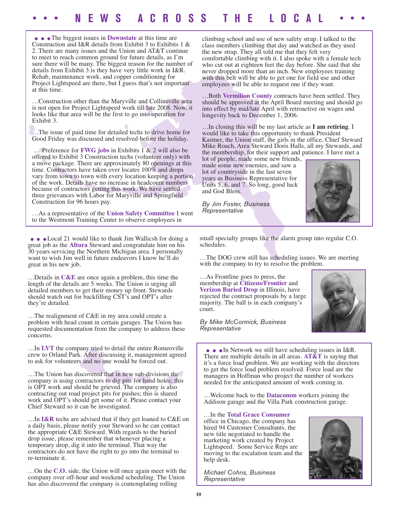## **••• NEWS ACROSS THE LOCAL •••**

• • The biggest issues in **Downstate** at this time are Construction and I&R details from Exhibit 3 to Exhibits 1 & 2. There are many issues and the Union and AT&T continue to meet to reach common ground for future details, as I'm sure there will be many. The biggest reason for the number of details from Exhibit 3 is they have very little work in I&R. Rehab, maintenance work, and copper conditioning for Project Lightspeed are there, but I guess that's not important at this time.

…Construction other than the Maryville and Collinsville area is not open for Project Lightspeed work till late 2008. Now, it looks like that area will be the first to go into operation for Exhibit 3.

…The issue of paid time for detailed techs to drive home for Good Friday was discussed and resolved before the holiday.

… Preference for **FWG jobs** in Exhibits 1 & 2 will also be offered to Exhibit 3 Construction techs (volunteer only) with a move package. There are approximately 80 openings at this time. Contractors have taken over locates 100% and drops vary from town to town with every location keeping a portion of the work. Details have no increase in headcount numbers because of contractors getting this work. We have settled three grievances with Labor for Maryville and Springfield Construction for 96 hours pay.

…As a representative of the **Union Safety Committee** I went to the Westmont Training Center to observe employees in

• • • Local 21 would like to thank Jim Wallicsh for doing a great job as the **Altura** Steward and congratulate him on his 30 years servicing the Northern Michigan area. I personally want to wish Jim well in future endeavors I know he'll do great in his new job.

…Details in **C&E** are once again a problem, this time the length of the details are 5 weeks. The Union is urging all detailed members to get their money up front. Stewards should watch out for backfilling CST's and OPT's after they're detailed.

…The realignment of C&E in my area could create a problem with head count in certain garages. The Union has requested documentation from the company to address these concerns.

…In **LVT** the company tried to detail the entire Romeoville crew to Orland Park. After discussing it, management agreed to ask for volunteers and no one would be forced out.

…The Union has discovered that in new sub-divisions the company is using contractors to dig pits for hand holes; this is OPT work and should be grieved. The company is also contracting out road project pits for pushes; this is shared work and OPT's should get some of it. Please contact your Chief Steward so it can be investigated.

…In **I&R** techs are advised that if they get loaned to C&E on a daily basis, please notify your Steward so he can contact the appropriate C&E Steward. With regards to the buried drop issue, please remember that whenever placing a temporary drop, dig it into the terminal. That way the contractors do not have the right to go into the terminal to re-terminate it.

…On the **C.O.** side, the Union will once again meet with the company over off-hour and weekend scheduling. The Union has also discovered the company is contemplating rolling

climbing school and use of new safety strap. I talked to the class members climbing that day and watched as they used the new strap. They all told me that they felt very comfortable climbing with it. I also spoke with a female tech who cut out at eighteen feet the day before. She said that she never dropped more than an inch. New employees training with this belt will be able to get one for field use and other employees will be able to request one if they want.

…Both **Vermilion County** contracts have been settled. They should be approved at the April Board meeting and should go into effect by mid/late April with retroactive on wages and longevity back to December 1, 2006.

…In closing this will be my last article as **I am retiring**. I would like to take this opportunity to thank President Kastner, the Union staff, the girls in the office, Chief Steward Mike Roach, Area Steward Doris Halls, all my Stewards, and the membership, for their support and patience. I have met a

lot of people, made some new friends, made some new enemies, and saw a lot of countryside in the last seven years as Business Representative for Units 5, 6, and 7. So long, good luck and God Bless.

*By Jim Foster, Business Representative*

![](_page_9_Picture_18.jpeg)

small specialty groups like the alarm group into regular C.O. schedules.

…The DOG crew still has scheduling issues. We are meeting with the company to try to resolve the problem.

…As Frontline goes to press, the membership at **Citizens/Frontier** and **Verizon Buried Drop** in Illinois, have rejected the contract proposals by a large majority. The ball is in each company's court.

*By Mike McCormick, Business Representative*

![](_page_9_Picture_23.jpeg)

**• •** • In Network we still have scheduling issues in I&R.<br>There are multiple details in all areas. **AT&T** is saying that it's a force load problem. We are working with the directors to get the force load problem resolved. Force load are the managers in Hoffman who project the number of workers needed for the anticipated amount of work coming in.

…Welcome back to the **Datacomm** workers joining the Addison garage and the Villa Park construction garage.

…In the **Total Grace Consumer** office in Chicago, the company has hired 94 Customer Consultants, the new title negotiated to handle the marketing work created by Project Lightspeed. Some Service Reps are moving to the escalation team and the help desk.

*Michael Cohns, Business Representative*

![](_page_9_Picture_28.jpeg)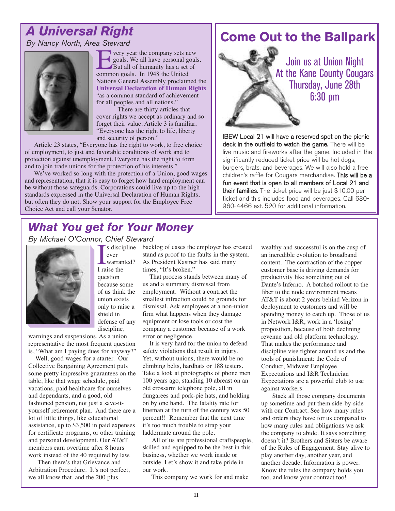## *A Universal Right By Nancy North, Area Steward*

![](_page_10_Picture_1.jpeg)

**EVERITH** very year the company sets new<br>goals. We all have personal goal<br>But all of humanity has a set of<br>common goals. In 1948 the United goals. We all have personal goals. But all of humanity has a set of Nations General Assembly proclaimed the **Universal Declaration of Human Rights** "as a common standard of achievement for all peoples and all nations."

There are thirty articles that cover rights we accept as ordinary and so forget their value. Article 3 is familiar, "Everyone has the right to life, liberty and security of person."

Article 23 states, "Everyone has the right to work, to free choice of employment, to just and favorable conditions of work and to protection against unemployment. Everyone has the right to form and to join trade unions for the protection of his interests."

We've worked so long with the protection of a Union, good wages and representation, that it is easy to forget how hard employment can be without those safeguards. Corporations could live up to the high standards expressed in the Universal Declaration of Human Rights, but often they do not. Show your support for the Employee Free Choice Act and call your Senator.

## **Come Out to the Ballpark**

Join us at Union Night At the Kane County Cougars Thursday, June 28th 6:30 pm

IBEW Local 21 will have a reserved spot on the picnic deck in the outfield to watch the game. There will be live music and fireworks after the game. Included in the significantly reduced ticket price will be hot dogs, burgers, brats, and beverages. We will also hold a free children's raffle for Cougars merchandise. This will be a fun event that is open to all members of Local 21 and their families. The ticket price will be just \$10.00 per ticket and this includes food and beverages. Call 630- 960-4466 ext. 520 for additional information.

## *What You get for Your Money*

*By Michael O'Connor, Chief Steward*

![](_page_10_Picture_11.jpeg)

 $\begin{array}{c}\n\text{I} \text{s disci} \\
\text{ever} \\
\text{Warrar} \\
\text{I raise the}\n\end{array}$ ever warranted? question because some of us think the union exists only to raise a shield in defense of any discipline,

warnings and suspensions. As a union representative the most frequent question is, "What am I paying dues for anyway?"

Well, good wages for a starter. Our Collective Bargaining Agreement puts some pretty impressive guarantees on the table, like that wage schedule, paid vacations, paid healthcare for ourselves and dependants, and a good, old fashioned pension, not just a save-ityourself retirement plan. And there are a lot of little things, like educational assistance, up to \$3,500 in paid expenses for certificate programs, or other training and personal development. Our AT&T members earn overtime after 8 hours work instead of the 40 required by law.

Then there's that Grievance and Arbitration Procedure. It's not perfect, we all know that, and the 200 plus

s discipline backlog of cases the employer has created stand as proof to the faults in the system. As President Kastner has said many times, "It's broken."

That process stands between many of us and a summary dismissal from employment. Without a contract the smallest infraction could be grounds for dismissal. Ask employees at a non-union firm what happens when they damage equipment or lose tools or cost the company a customer because of a work error or negligence.

It is very hard for the union to defend safety violations that result in injury. Yet, without unions, there would be no climbing belts, hardhats or 188 testers. Take a look at photographs of phone men 100 years ago, standing 10 abreast on an old crossarm telephone pole, all in dungarees and pork-pie hats, and holding on by one hand. The fatality rate for lineman at the turn of the century was 50 percent!! Remember that the next time it's too much trouble to strap your laddermate around the pole.

All of us are professional craftspeople, skilled and equipped to be the best in this business, whether we work inside or outside. Let's show it and take pride in our work.

This company we work for and make

wealthy and successful is on the cusp of an incredible evolution to broadband content. The contraction of the copper customer base is driving demands for productivity like something out of Dante's Inferno. A botched rollout to the fiber to the node environment means AT&T is about 2 years behind Verizon in deployment to customers and will be spending money to catch up. Those of us in Network I&R, work in a 'losing' proposition, because of both declining revenue and old platform technology. That makes the performance and discipline vise tighter around us and the tools of punishment: the Code of Conduct, Midwest Employee Expectations and I&R Technician Expectations are a powerful club to use against workers.

Stack all those company documents up sometime and put them side-by-side with our Contract. See how many rules and orders they have for us compared to how many rules and obligations we ask the company to abide. It says something doesn't it? Brothers and Sisters be aware of the Rules of Engagement. Stay alive to play another day, another year, and another decade. Information is power. Know the rules the company holds you too, and know your contract too!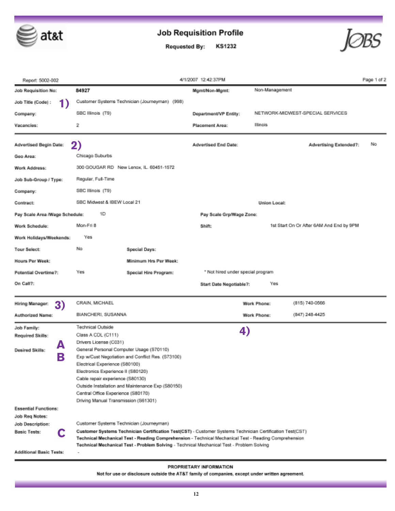![](_page_11_Picture_0.jpeg)

## **Job Requisition Profile**

KS1232 **Requested By:** 

![](_page_11_Picture_3.jpeg)

| Report: 5002-002               |                                                                                                                                                                                                                                                                                                                 | 4/1/2007 12:42:37PM               |                                          | Page 1 of 2 |
|--------------------------------|-----------------------------------------------------------------------------------------------------------------------------------------------------------------------------------------------------------------------------------------------------------------------------------------------------------------|-----------------------------------|------------------------------------------|-------------|
| Job Requisition No:            | 84927                                                                                                                                                                                                                                                                                                           | Mgmt/Non-Mgmt:                    | Non-Management                           |             |
| Job Title (Code) :<br>1)       | Customer Systems Technician (Journeyman) (998)                                                                                                                                                                                                                                                                  |                                   |                                          |             |
| Company:                       | SBC Illinois (T9)                                                                                                                                                                                                                                                                                               | Department/VP Entity:             | NETWORK-MIDWEST-SPECIAL SERVICES         |             |
| Vacancies:                     | 2                                                                                                                                                                                                                                                                                                               | Placement Area:                   | Illinois                                 |             |
| Advertised Begin Date:         | 2)                                                                                                                                                                                                                                                                                                              | Advertised End Date:              | Advertising Extended?:                   | No          |
| Geo Area:                      | Chicago Suburbs                                                                                                                                                                                                                                                                                                 |                                   |                                          |             |
| Work Address:                  | 300 GOUGAR RD New Lenox, IL. 60451-1572                                                                                                                                                                                                                                                                         |                                   |                                          |             |
| Job Sub-Group / Type:          | Regular, Full-Time                                                                                                                                                                                                                                                                                              |                                   |                                          |             |
| Company:                       | SBC Illinois (T9)                                                                                                                                                                                                                                                                                               |                                   |                                          |             |
| Contract:                      | SBC Midwest & IBEW Local 21                                                                                                                                                                                                                                                                                     |                                   | Union Local:                             |             |
| Pay Scale Area /Wage Schedule: | 1D                                                                                                                                                                                                                                                                                                              | Pay Scale Grp/Wage Zone:          |                                          |             |
| Work Schedule:                 | Mon-Fri 8                                                                                                                                                                                                                                                                                                       | Shift:                            | 1st Start On Or After 6AM And End by 9PM |             |
| Work Holidays/Weekends:        | Yes                                                                                                                                                                                                                                                                                                             |                                   |                                          |             |
| <b>Tour Select:</b>            | No<br>Special Days:                                                                                                                                                                                                                                                                                             |                                   |                                          |             |
| Hours Per Week:                | Minimum Hrs Per Week:                                                                                                                                                                                                                                                                                           |                                   |                                          |             |
| Potential Overtime?:           | Yes<br>Special Hire Program:                                                                                                                                                                                                                                                                                    | * Not hired under special program |                                          |             |
| On Call?:                      |                                                                                                                                                                                                                                                                                                                 | Start Date Negotiable?:           | Yes                                      |             |
| 3)<br>Hiring Manager:          | CRAIN, MICHAEL                                                                                                                                                                                                                                                                                                  |                                   | (815) 740-0566<br>Work Phone:            |             |
| Authorized Name:               | BIANCHERI, SUSANNA                                                                                                                                                                                                                                                                                              |                                   | (847) 248-4425<br>Work Phone:            |             |
| Job Family:                    | Technical Outside                                                                                                                                                                                                                                                                                               |                                   |                                          |             |
| <b>Required Skills:</b>        | Class A CDL (C111)                                                                                                                                                                                                                                                                                              | 4)                                |                                          |             |
| А                              | Drivers License (C031)                                                                                                                                                                                                                                                                                          |                                   |                                          |             |
| Desired Skills:                | General Personal Computer Usage (S70110)                                                                                                                                                                                                                                                                        |                                   |                                          |             |
| B                              | Exp w/Cust Negotiation and Conflict Res. (S73100)                                                                                                                                                                                                                                                               |                                   |                                          |             |
|                                | Electrical Experience (S80100)                                                                                                                                                                                                                                                                                  |                                   |                                          |             |
|                                | Electronics Experience II (S80120)                                                                                                                                                                                                                                                                              |                                   |                                          |             |
|                                | Cable repair experience (S80130)                                                                                                                                                                                                                                                                                |                                   |                                          |             |
|                                | Outside Installation and Maintenance Exp (S80150)                                                                                                                                                                                                                                                               |                                   |                                          |             |
|                                | Central Office Experience (S80170)                                                                                                                                                                                                                                                                              |                                   |                                          |             |
|                                | Driving Manual Transmission (S61301)                                                                                                                                                                                                                                                                            |                                   |                                          |             |
| <b>Essential Functions:</b>    |                                                                                                                                                                                                                                                                                                                 |                                   |                                          |             |
| Job Reg Notes:                 |                                                                                                                                                                                                                                                                                                                 |                                   |                                          |             |
| Job Description:               | Customer Systems Technician (Journeyman)                                                                                                                                                                                                                                                                        |                                   |                                          |             |
| <b>Basic Tests:</b><br>C       | Customer Systems Technician Certification Test(CST) - Customer Systems Technician Certification Test(CST)<br>Technical Mechanical Test - Reading Comprehension - Technical Mechanical Test - Reading Comprehension<br>Technical Mechanical Test - Problem Solving - Technical Mechanical Test - Problem Solving |                                   |                                          |             |
| Additional Basic Tests:        | ٠                                                                                                                                                                                                                                                                                                               |                                   |                                          |             |

#### PROPRIETARY INFORMATION

Not for use or disclosure outside the AT&T family of companies, except under written agreement.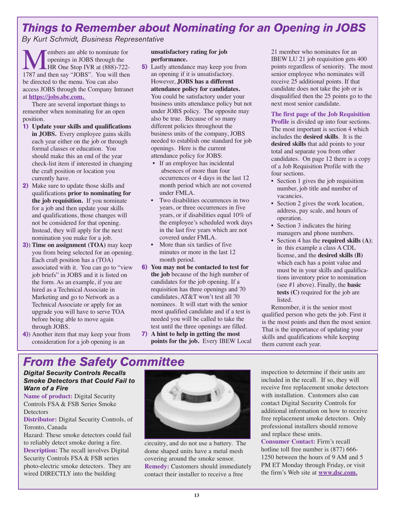## *Things to Remember about Nominating for an Opening in JOBS*

*By Kurt Schmidt, Business Representative*

**Members are able to nominate for**<br>
HR One Stop IVR at (888)-722-<br>
1787 and then say "JOBS". You will then openings in JOBS through the **LHR One Stop IVR at (888)-722**be directed to the menu. You can also access JOBS through the Company Intranet at **https://jobs.sbc.com.** 

There are several important things to remember when nominating for an open position.

- **1) Update your skills and qualifications in JOBS.** Every employee gains skills each year either on the job or through formal classes or education. You should make this an end of the year check-list item if interested in changing the craft position or location you currently have.
- **2)** Make sure to update those skills and qualifications **prior to nominating for the job requisition.** If you nominate for a job and then update your skills and qualifications, those changes will not be considered for that opening. Instead, they will apply for the next nomination you make for a job.
- **3)**) **Time on assignment (TOA)** may keep you from being selected for an opening. Each craft position has a (TOA) associated with it. You can go to "view job briefs" in JOBS and it is listed on the form. As an example, if you are hired as a Technical Associate in Marketing and go to Network as a Technical Associate or apply for an upgrade you will have to serve TOA before being able to move again through JOBS.
- **4)**) Another item that may keep your from consideration for a job opening is an

#### **unsatisfactory rating for job performance.**

- **5)** Lastly attendance may keep you from an opening if it is unsatisfactory. However, **JOBS has a different attendance policy for candidates.** You could be satisfactory under your business units attendance policy but not under JOBS policy. The opposite may also be true. Because of so many different policies throughout the business units of the company, JOBS needed to establish one standard for job openings. Here is the current attendance policy for JOBS:
	- If an employee has incidental absences of more than four occurrences or 4 days in the last 12 month period which are not covered under FMLA.
	- Two disabilities occurrences in two years, or three occurrences in five years, or if disabilities equal 10% of the employee's scheduled work days in the last five years which are not covered under FMLA.
	- More than six tardies of five minutes or more in the last 12 month period.
- **6) You may not be contacted to test for the job** because of the high number of candidates for the job opening. If a requisition has three openings and 70 candidates, AT&T won't test all 70 nominees. It will start with the senior most qualified candidate and if a test is needed you will be called to take the test until the three openings are filled.
- **7) A hint to help in getting the most points for the job.** Every IBEW Local

21 member who nominates for an IBEW LU 21 job requisition gets 400 points regardless of seniority. The most senior employee who nominates will receive 25 additional points. If that candidate does not take the job or is disqualified then the 25 points go to the next most senior candidate.

**The first page of the Job Requisition Profile** is divided up into four sections. The most important is section 4 which includes the **desired skills**. It is the **desired skills** that add points to your total and separate you from other candidates. On page 12 there is a copy of a Job Requisition Profile with the four sections.

- Section 1 gives the job requisition number, job title and number of vacancies.
- Section 2 gives the work location, address, pay scale, and hours of operation.
- Section 3 indicates the hiring managers and phone numbers.
- Section 4 has the **required skills (A)**; in this example a class A CDL license, and the **desired skills (B)** which each has a point value and must be in your skills and qualifications inventory prior to nomination (see #1 above). Finally, the **basic tests (C)** required for the job are listed.

Remember, it is the senior most qualified person who gets the job. First it is the most points and then the most senior. That is the importance of updating your skills and qualifications while keeping them current each year.

## *From the Safety Committee*

*Digital Security Controls Recalls Smoke Detectors that Could Fail to Warn of a Fire*

**Name of product:** Digital Security Controls FSA & FSB Series Smoke **Detectors** 

**Distributor:** Digital Security Controls, of Toronto, Canada

Hazard: These smoke detectors could fail to reliably detect smoke during a fire. **Description:** The recall involves Digital Security Controls FSA & FSB series photo-electric smoke detectors. They are wired DIRECTLY into the building

![](_page_12_Picture_27.jpeg)

circuitry, and do not use a battery. The dome shaped units have a metal mesh covering around the smoke sensor. **Remedy:** Customers should immediately contact their installer to receive a free

inspection to determine if their units are included in the recall. If so, they will receive free replacement smoke detectors with installation. Customers also can contact Digital Security Controls for additional information on how to receive free replacement smoke detectors. Only professional installers should remove and replace these units.

**Consumer Contact:** Firm's recall hotline toll free number is  $(877)$  666-1250 between the hours of 9 AM and 5 PM ET Monday through Friday, or visit the firm's Web site at **www.dsc.com.**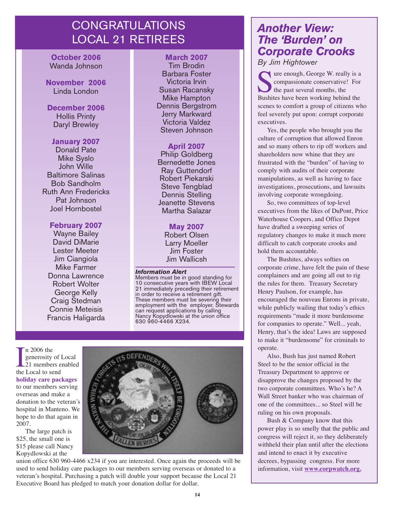## CONGRATULATIONS LOCAL 21 RETIREES

**October 2006** Wanda Johnson

**November 2006** Linda London

**December 2006** Hollis Printy Daryl Brewley

#### **January 2007**

Donald Pate Mike Syslo John Wille Baltimore Salinas Bob Sandholm Ruth Ann Fredericks Pat Johnson Joel Hornbostel

#### **February 2007**

Wayne Bailey David DiMarie Lester Meeter Jim Ciangiola Mike Farmer Donna Lawrence Robert Wolter George Kelly Craig Stedman Connie Meteisis Francis Haligarda

#### **March 2007**

Tim Brodin Barbara Foster Victoria Irvin Susan Racansky Mike Hampton Dennis Bergstrom Jerry Markward Victoria Valdez Steven Johnson

#### **April 2007**

Philip Goldberg Bernedette Jones Ray Guttendorf Robert Piekarski Steve Tengblad Dennis Stelling Jeanette Stevens Martha Salazar

#### **May 2007**

Robert Olsen Larry Moeller Jim Foster Jim Wallicsh

#### *Information Alert*

Members must be in good standing for 10 consecutive years with IBEW Local 21 immediately preceding their retirement in order to receive a retirement gift. These members must be severing their employment with the employer. Stewards can request applications by calling Nancy Kopydlowski at the union office 630 960-4466 X234.

I a 2006 the<br>generosity of<br>21 members e<br>the Local to send n 2006 the generosity of Local 21 members enabled **holiday care packages** to our members serving overseas and make a donation to the veteran's hospital in Manteno. We hope to do that again in 2007.

The large patch is \$25, the small one is \$15 please call Nancy Kopydlowski at the

![](_page_13_Picture_18.jpeg)

union office 630 960-4466 x234 if you are interested. Once again the proceeds will be used to send holiday care packages to our members serving overseas or donated to a veteran's hospital. Purchasing a patch will double your support because the Local 21 Executive Board has pledged to match your donation dollar for dollar.

## *Another View: The 'Burden' on Corporate Crooks*

*By Jim Hightower* 

Sure enough, George W. really is a compassionate conservative! For the past several months, the Bushites have been working behind the compassionate conservative! For the past several months, the scenes to comfort a group of citizens who feel severely put upon: corrupt corporate executives.

Yes, the people who brought you the culture of corruption that allowed Enron and so many others to rip off workers and shareholders now whine that they are frustrated with the "burden" of having to comply with audits of their corporate manipulations, as well as having to face investigations, prosecutions, and lawsuits involving corporate wrongdoing.

So, two committees of top-level executives from the likes of DuPont, Price Waterhouse Coopers, and Office Depot have drafted a sweeping series of regulatory changes to make it much more difficult to catch corporate crooks and hold them accountable.

The Bushites, always softies on corporate crime, have felt the pain of these complainers and are going all out to rig the rules for them. Treasury Secretary Henry Paulson, for example, has encouraged the nouveau Enrons in private, while publicly wailing that today's ethics requirements "made it more burdensome for companies to operate." Well... yeah, Henry, that's the idea! Laws are supposed to make it "burdensome" for criminals to operate.

Also, Bush has just named Robert Steel to be the senior official in the Treasury Department to approve or disapprove the changes proposed by the two corporate committees. Who's he? A Wall Street banker who was chairman of one of the committees... so Steel will be ruling on his own proposals.

Bush & Company know that this power play is so smelly that the public and congress will reject it, so they deliberately withheld their plan until after the elections and intend to enact it by executive decrees, bypassing congress. For more information, visit **www.corpwatch.org.**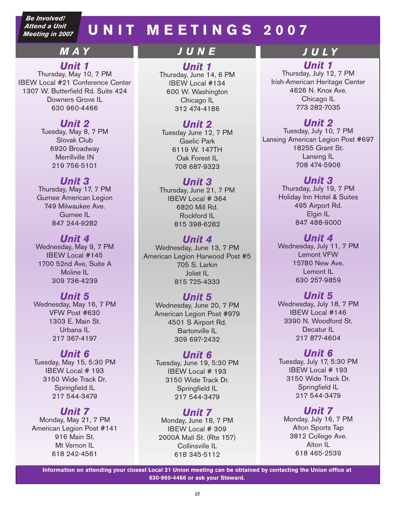*Be Involved! Attend a Unit Meeting in 2007*

## **UNIT MEETINGS 2007**

## *MAY*

## *Unit 1*

Thursday, May 10, 7 PM IBEW Local #21 Conference Center 1307 W. Butterfield Rd. Suite 424 Downers Grove IL 630 960-4466

## *Unit 2*

Tuesday, May 8, 7 PM Slovak Club 6920 Broadway Merrillville IN 219 756-5101

## *Unit 3*

Thursday, May 17, 7 PM Gurnee American Legion 749 Milwaukee Ave. Gurnee IL 847 244-9282

#### *Unit 4* Wednesday, May 9, 7 PM IBEW Local #145 1700 52nd Ave, Suite A Moline IL 309 736-4239

## *Unit 5*

Wednesday, May 16, 7 PM VFW Post #630 1303 E. Main St. Urbana IL 217 367-4197

## *Unit 6*

Tuesday, May 15, 5:30 PM IBEW Local # 193 3150 Wide Track Dr. Springfield IL 217 544-3479

## *Unit 7*

Monday, May 21, 7 PM American Legion Post #141 916 Main St. Mt Vernon IL 618 242-4561

## *JUNE J U LY*

## *Unit 1*

Thursday, June 14, 6 PM IBEW Local #134 600 W. Washington Chicago IL 312 474-4186

## *Unit 2*

Tuesday June 12, 7 PM Gaelic Park 6119 W. 147TH Oak Forest IL 708 687-9323

## *Unit 3*

Thursday, June 21, 7 PM IBEW Local # 364 6820 Mill Rd. Rockford IL 815 398-6282

## *Unit 4*

Wednesday, June 13, 7 PM American Legion Harwood Post #5 705 S. Larkin Joliet IL 815 725-4333

## *Unit 5*

Wednesday, June 20, 7 PM American Legion Post #979 4501 S Airport Rd. Bartonville IL 309 697-2432

## *Unit 6*

Tuesday, June 19, 5:30 PM IBEW Local # 193 3150 Wide Track Dr. Springfield IL 217 544-3479

## *Unit 7*

Monday, June 18, 7 PM IBEW Local # 309 2000A Mall St. (Rte 157) Collinsville IL 618 345-5112

*Unit 1* Thursday, July 12, 7 PM Irish-American Heritage Center 4626 N. Knox Ave. Chicago IL 773 282-7035

## *Unit 2*

Tuesday, July 10, 7 PM Lansing American Legion Post #697 18255 Grant St. Lansing IL 708 474-5906

## *Unit 3*

Thursday, July 19, 7 PM Holiday Inn Hotel & Suites 495 Airport Rd. Elgin IL 847 488-9000

*Unit 4* Wednesday, July 11, 7 PM Lemont VFW 15780 New Ave. Lemont IL 630 257-9859

## *Unit 5*

Wednesday, July 18, 7 PM IBEW Local #146 3390 N. Woodford St. Decatur IL 217 877-4604

## *Unit 6*

Tuesday, July 17, 5:30 PM IBEW Local # 193 3150 Wide Track Dr. Springfield IL 217 544-3479

## *Unit 7*

Monday, July 16, 7 PM Alton Sports Tap 3812 College Ave. Alton IL 618 465-2539

**Information on attending your closest Local 21 Union meeting can be obtained by contacting the Union office at 630-960-4466 or ask your Steward.**